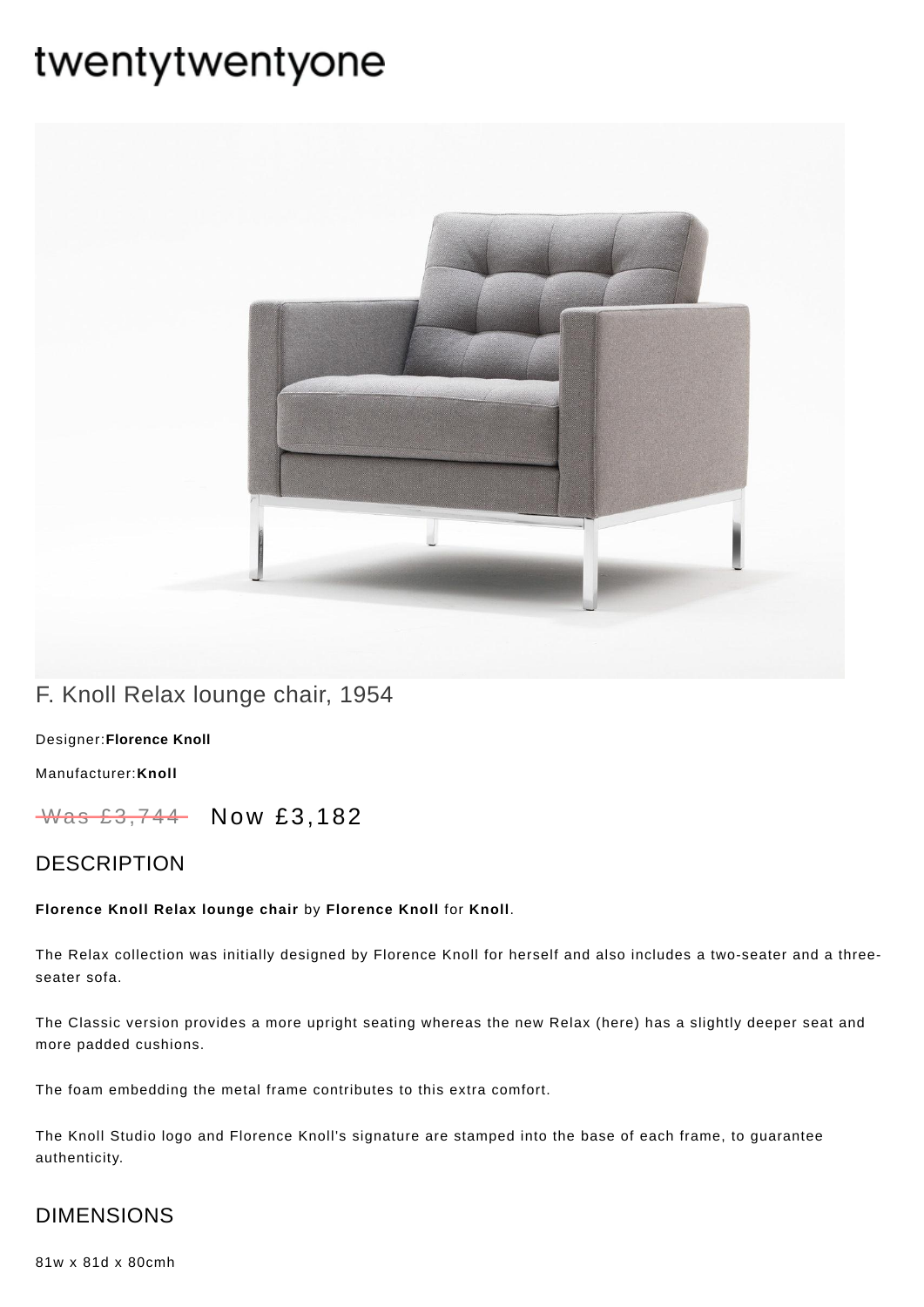# twentytwentyone



## F. Knoll Relax lounge chair, 1954

[Designer:](https://www.twentytwentyone.com/collections/designers-florence-knoll)**Florence Knoll**

[Manufacturer:](https://www.twentytwentyone.com/collections/manufacturers-knoll)**Knoll**

Was £3,744 Now £3,182

### **DESCRIPTION**

#### **Florence Knoll Relax lounge chair** by **[Florence](http://twentytwentyone.com/designer/florence-knoll) Knoll** for **[Knoll](http://twentytwentyone.com/manufacturer/knoll)**.

The Relax collection was initially designed by Florence Knoll for herself and also includes a two-seater and a threeseater sofa.

The Classic version provides a more upright seating whereas the new Relax (here) has a slightly deeper seat and more padded cushions.

The foam embedding the metal frame contributes to this extra comfort.

The Knoll Studio logo and Florence Knoll's signature are stamped into the base of each frame, to guarantee authenticity.

## DIMENSIONS

81w x 81d x 80cmh